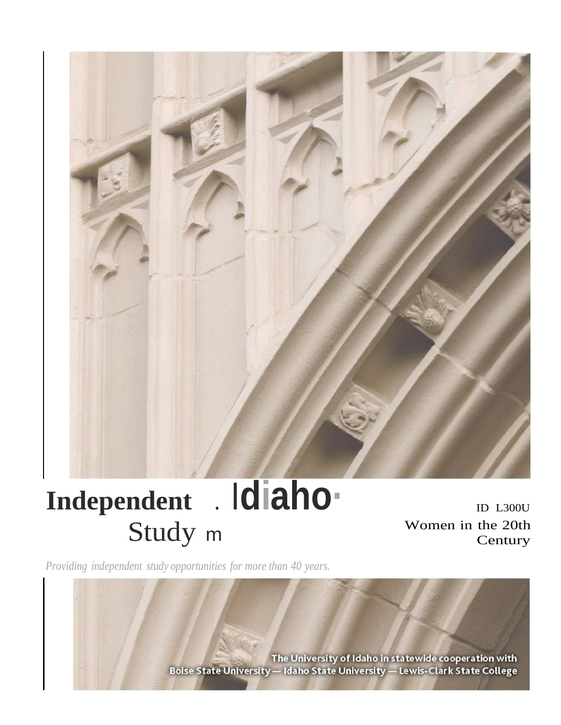

# Independent . Idiaho-Study m

ID L300U Women in the 20th Century

Providing independent study opportunities for more than 40 years.

The University of Idaho in statewide cooperation with Boise State University - Idaho State University - Lewis-Clark State College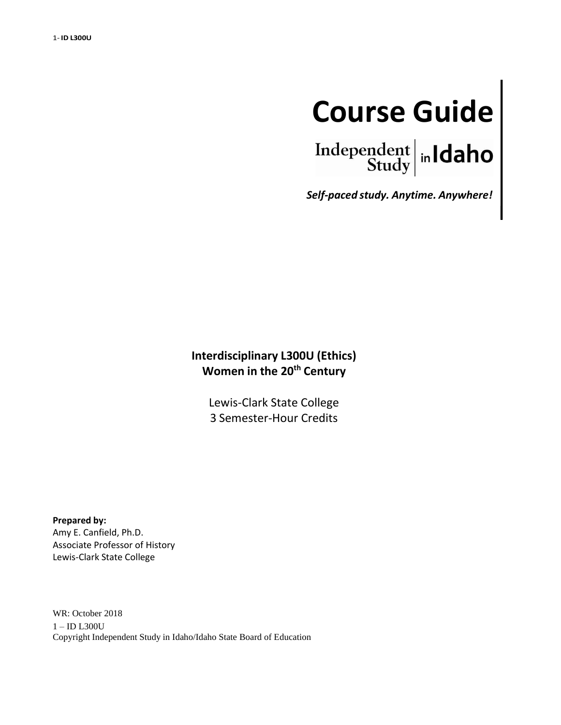

Independent  $\left|\frac{\text{independent}}{\text{Study}}\right|$  in Idaho

*Self-paced study. Anytime. Anywhere!*

# **Interdisciplinary L300U (Ethics) Women in the 20th Century**

Lewis-Clark State College 3 Semester-Hour Credits

**Prepared by:** Amy E. Canfield, Ph.D. Associate Professor of History Lewis-Clark State College

WR: October 2018 1 – ID L300U Copyright Independent Study in Idaho/Idaho State Board of Education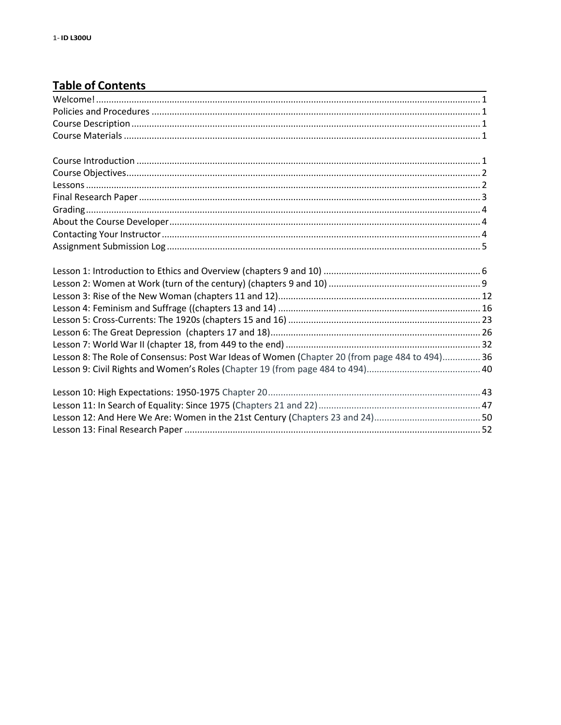# Table of Contents<br>
Table of Contents

| Lesson 8: The Role of Consensus: Post War Ideas of Women (Chapter 20 (from page 484 to 494) 36 |  |
|------------------------------------------------------------------------------------------------|--|
|                                                                                                |  |
|                                                                                                |  |
|                                                                                                |  |
|                                                                                                |  |
|                                                                                                |  |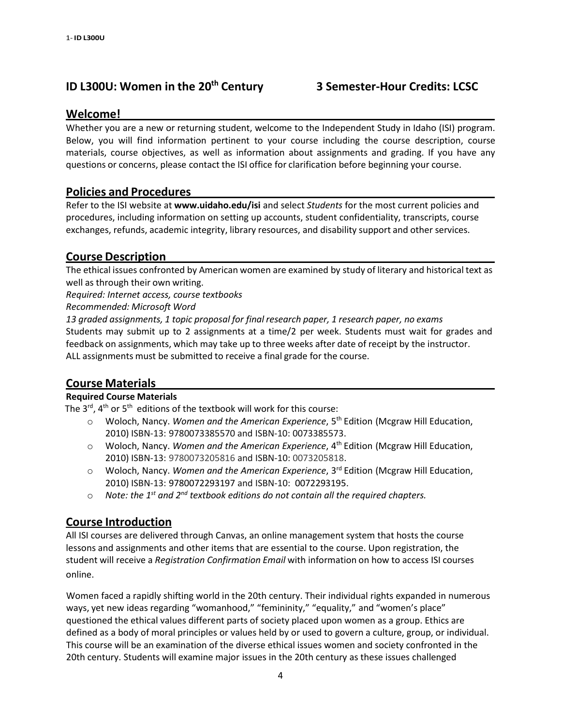# **ID L300U: Women in the 20th Century 3 Semester-Hour Credits: LCSC**

#### **Welcome!**

Whether you are a new or returning student, welcome to the Independent Study in Idaho (ISI) program. Below, you will find information pertinent to your course including the course description, course materials, course objectives, as well as information about assignments and grading. If you have any questions or concerns, please contact the ISI office for clarification before beginning your course.

#### <span id="page-3-0"></span>**Policies and Procedures**

Refer to the ISI website at **[www.uidaho.edu/isi](http://www.uidaho.edu/isi)** and select *Students* for the most current policies and procedures, including information on setting up accounts, student confidentiality, transcripts, course exchanges, refunds, academic integrity, library resources, and disability support and other services.

#### <span id="page-3-1"></span>**Course Description**

The ethical issues confronted by American women are examined by study of literary and historical text as well as through their own writing.

*Required: Internet access, course textbooks*

*Recommended: Microsoft Word*

*13 graded assignments, 1 topic proposal for final research paper, 1 research paper, no exams* Students may submit up to 2 assignments at a time/2 per week. Students must wait for grades and feedback on assignments, which may take up to three weeks after date of receipt by the instructor. ALL assignments must be submitted to receive a final grade for the course.

### **Course Materials**

#### **Required Course Materials**

<span id="page-3-2"></span>The 3<sup>rd</sup>, 4<sup>th</sup> or 5<sup>th</sup> editions of the textbook will work for this course:

- o Woloch, Nancy. *Women and the American Experience*, 5 th Edition (Mcgraw Hill Education, 2010) ISBN-13: 9780073385570 and ISBN-10: 0073385573.
- o Woloch, Nancy. *Women and the American Experience*, 4 th Edition (Mcgraw Hill Education, 2010) ISBN-13: 9780073205816 and ISBN-10: 0073205818.
- o Woloch, Nancy. *Women and the American Experience*, 3 rd Edition (Mcgraw Hill Education, 2010) ISBN-13: [9780072293197](https://www.abebooks.com/products/isbn/9780072293197?cm_sp=bdp-_-ISBN13-_-PLP) and ISBN-10: 0072293195.
- o *Note: the 1 st and 2nd textbook editions do not contain all the required chapters.*

### <span id="page-3-3"></span>**Course Introduction**

All ISI courses are delivered through Canvas, an online management system that hosts the course lessons and assignments and other items that are essential to the course. Upon registration, the student will receive a *Registration Confirmation Email* with information on how to access ISI courses online.

Women faced a rapidly shifting world in the 20th century. Their individual rights expanded in numerous ways, yet new ideas regarding "womanhood," "femininity," "equality," and "women's place" questioned the ethical values different parts of society placed upon women as a group. Ethics are defined as a body of moral principles or values held by or used to govern a culture, group, or individual. This course will be an examination of the diverse ethical issues women and society confronted in the 20th century. Students will examine major issues in the 20th century as these issues challenged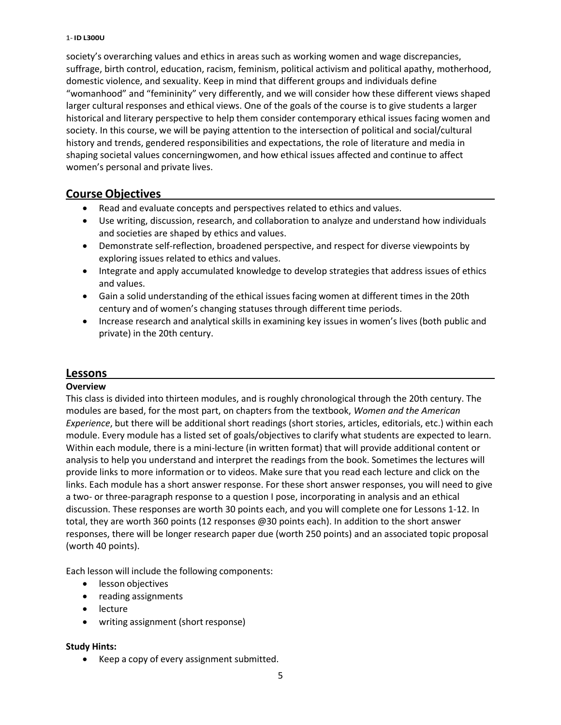#### 1- **ID L300U**

society's overarching values and ethics in areas such as working women and wage discrepancies, suffrage, birth control, education, racism, feminism, political activism and political apathy, motherhood, domestic violence, and sexuality. Keep in mind that different groups and individuals define "womanhood" and "femininity" very differently, and we will consider how these different views shaped larger cultural responses and ethical views. One of the goals of the course is to give students a larger historical and literary perspective to help them consider contemporary ethical issues facing women and society. In this course, we will be paying attention to the intersection of political and social/cultural history and trends, gendered responsibilities and expectations, the role of literature and media in shaping societal values concerningwomen, and how ethical issues affected and continue to affect women's personal and private lives.

#### <span id="page-4-0"></span>**Course Objectives**

- Read and evaluate concepts and perspectives related to ethics and values.
- Use writing, discussion, research, and collaboration to analyze and understand how individuals and societies are shaped by ethics and values.
- Demonstrate self-reflection, broadened perspective, and respect for diverse viewpoints by exploring issues related to ethics and values.
- Integrate and apply accumulated knowledge to develop strategies that address issues of ethics and values.
- Gain a solid understanding of the ethical issues facing women at different times in the 20th century and of women's changing statuses through different time periods.
- Increase research and analytical skills in examining key issues in women's lives (both public and private) in the 20th century.

#### <span id="page-4-1"></span>**Lessons**

#### **Overview**

This class is divided into thirteen modules, and is roughly chronological through the 20th century. The modules are based, for the most part, on chapters from the textbook, *Women and the American Experience*, but there will be additional short readings (short stories, articles, editorials, etc.) within each module. Every module has a listed set of goals/objectives to clarify what students are expected to learn. Within each module, there is a mini-lecture (in written format) that will provide additional content or analysis to help you understand and interpret the readings from the book. Sometimes the lectures will provide links to more information or to videos. Make sure that you read each lecture and click on the links. Each module has a short answer response. For these short answer responses, you will need to give a two- or three-paragraph response to a question I pose, incorporating in analysis and an ethical discussion. These responses are worth 30 points each, and you will complete one for Lessons 1-12. In total, they are worth 360 points (12 responses @30 points each). In addition to the short answer responses, there will be longer research paper due (worth 250 points) and an associated topic proposal (worth 40 points).

Each lesson will include the following components:

- lesson objectives
- reading assignments
- lecture
- writing assignment (short response)

#### **Study Hints:**

• Keep a copy of every assignment submitted.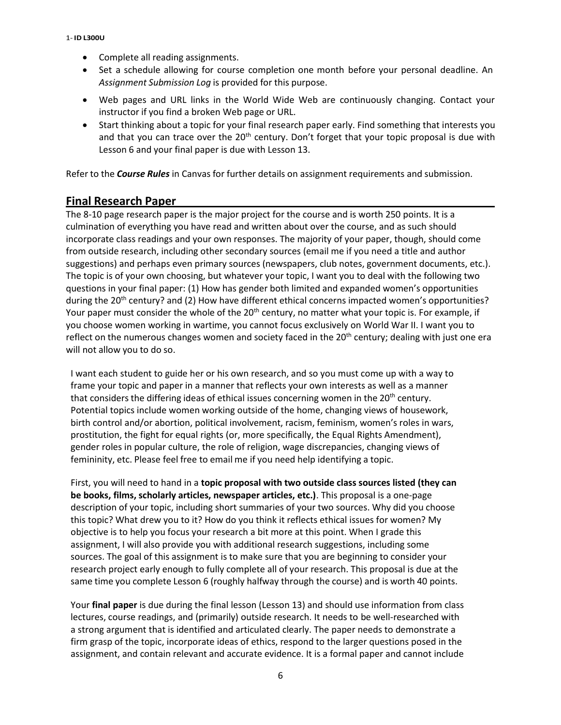- Complete all reading assignments.
- Set a schedule allowing for course completion one month before your personal deadline. An *Assignment Submission Log* is provided for this purpose.
- Web pages and URL links in the World Wide Web are continuously changing. Contact your instructor if you find a broken Web page or URL.
- Start thinking about a topic for your final research paper early. Find something that interests you and that you can trace over the  $20<sup>th</sup>$  century. Don't forget that your topic proposal is due with Lesson 6 and your final paper is due with Lesson 13.

Refer to the *Course Rules* in Canvas for further details on assignment requirements and submission.

#### <span id="page-5-0"></span>**Final Research Paper**

The 8-10 page research paper is the major project for the course and is worth 250 points. It is a culmination of everything you have read and written about over the course, and as such should incorporate class readings and your own responses. The majority of your paper, though, should come from outside research, including other secondary sources (email me if you need a title and author suggestions) and perhaps even primary sources (newspapers, club notes, government documents, etc.). The topic is of your own choosing, but whatever your topic, I want you to deal with the following two questions in your final paper: (1) How has gender both limited and expanded women's opportunities during the 20<sup>th</sup> century? and (2) How have different ethical concerns impacted women's opportunities? Your paper must consider the whole of the 20<sup>th</sup> century, no matter what your topic is. For example, if you choose women working in wartime, you cannot focus exclusively on World War II. I want you to reflect on the numerous changes women and society faced in the 20<sup>th</sup> century; dealing with just one era will not allow you to do so.

I want each student to guide her or his own research, and so you must come up with a way to frame your topic and paper in a manner that reflects your own interests as well as a manner that considers the differing ideas of ethical issues concerning women in the  $20<sup>th</sup>$  century. Potential topics include women working outside of the home, changing views of housework, birth control and/or abortion, political involvement, racism, feminism, women's roles in wars, prostitution, the fight for equal rights (or, more specifically, the Equal Rights Amendment), gender roles in popular culture, the role of religion, wage discrepancies, changing views of femininity, etc. Please feel free to email me if you need help identifying a topic.

First, you will need to hand in a **topic proposal with two outside class sources listed (they can be books, films, scholarly articles, newspaper articles, etc.)**. This proposal is a one-page description of your topic, including short summaries of your two sources. Why did you choose this topic? What drew you to it? How do you think it reflects ethical issues for women? My objective is to help you focus your research a bit more at this point. When I grade this assignment, I will also provide you with additional research suggestions, including some sources. The goal of this assignment is to make sure that you are beginning to consider your research project early enough to fully complete all of your research. This proposal is due at the same time you complete Lesson 6 (roughly halfway through the course) and is worth 40 points.

Your **final paper** is due during the final lesson (Lesson 13) and should use information from class lectures, course readings, and (primarily) outside research. It needs to be well-researched with a strong argument that is identified and articulated clearly. The paper needs to demonstrate a firm grasp of the topic, incorporate ideas of ethics, respond to the larger questions posed in the assignment, and contain relevant and accurate evidence. It is a formal paper and cannot include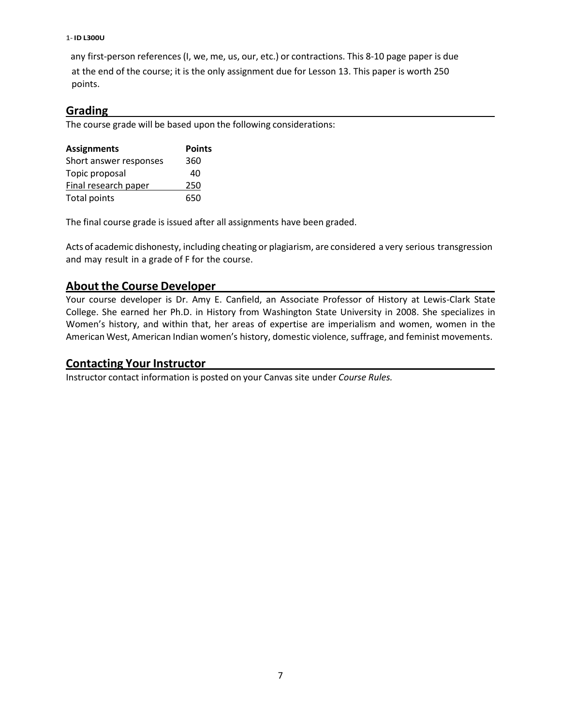#### 1- **ID L300U**

any first-person references(I, we, me, us, our, etc.) or contractions. This 8-10 page paper is due at the end of the course; it is the only assignment due for Lesson 13. This paper is worth 250 points.

#### <span id="page-6-0"></span>**Grading**

The course grade will be based upon the following considerations:

| <b>Assignments</b>     | <b>Points</b> |
|------------------------|---------------|
| Short answer responses | 360           |
| Topic proposal         | 40            |
| Final research paper   | 250           |
| <b>Total points</b>    | 650           |

The final course grade is issued after all assignments have been graded.

Acts of academic dishonesty, including cheating or plagiarism, are considered a very serious transgression and may result in a grade of F for the course.

## <span id="page-6-1"></span>**About the Course Developer**

Your course developer is Dr. Amy E. Canfield, an Associate Professor of History at Lewis-Clark State College. She earned her Ph.D. in History from Washington State University in 2008. She specializes in Women's history, and within that, her areas of expertise are imperialism and women, women in the American West, American Indian women's history, domestic violence, suffrage, and feminist movements.

#### <span id="page-6-2"></span>**Contacting Your Instructor**

Instructor contact information is posted on your Canvas site under *Course Rules.*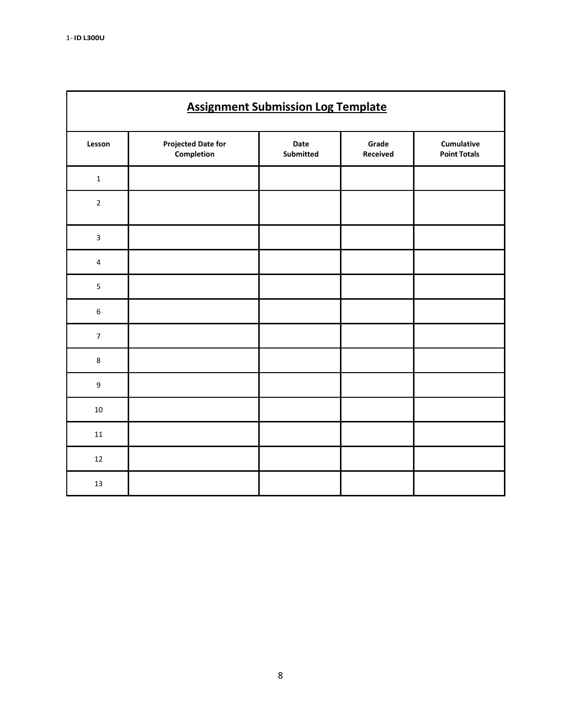| <b>Assignment Submission Log Template</b> |                                         |                          |                   |                                          |  |  |
|-------------------------------------------|-----------------------------------------|--------------------------|-------------------|------------------------------------------|--|--|
| Lesson                                    | <b>Projected Date for</b><br>Completion | Date<br><b>Submitted</b> | Grade<br>Received | <b>Cumulative</b><br><b>Point Totals</b> |  |  |
| $\mathbf 1$                               |                                         |                          |                   |                                          |  |  |
| $\overline{2}$                            |                                         |                          |                   |                                          |  |  |
| $\overline{\mathbf{3}}$                   |                                         |                          |                   |                                          |  |  |
| 4                                         |                                         |                          |                   |                                          |  |  |
| 5                                         |                                         |                          |                   |                                          |  |  |
| $\boldsymbol{6}$                          |                                         |                          |                   |                                          |  |  |
| $\overline{7}$                            |                                         |                          |                   |                                          |  |  |
| $\,8\,$                                   |                                         |                          |                   |                                          |  |  |
| $\boldsymbol{9}$                          |                                         |                          |                   |                                          |  |  |
| $10\,$                                    |                                         |                          |                   |                                          |  |  |
| $11\,$                                    |                                         |                          |                   |                                          |  |  |
| $12\,$                                    |                                         |                          |                   |                                          |  |  |
| 13                                        |                                         |                          |                   |                                          |  |  |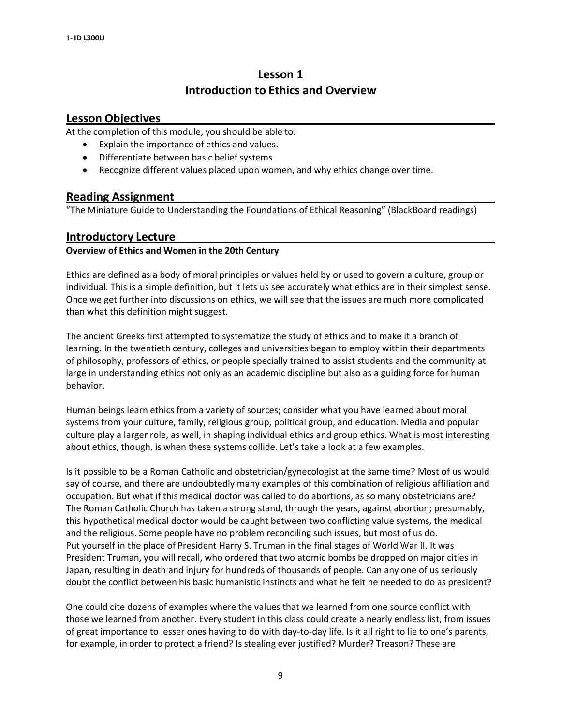# **Lesson 1 Introduction to Ethics and Overview**

#### **Lesson Objectives**

At the completion of this module, you should be able to:

- Explain the importance of ethics and values.
- Differentiate between basic belief systems
- Recognize different values placed upon women, and why ethics change over time.

#### **Reading Assignment**

"The Miniature Guide to Understanding the Foundations of Ethical Reasoning" (BlackBoard readings)

#### **Introductory Lecture**

#### **Overview of Ethics and Women in the 20th Century**

Ethics are defined as a body of moral principles or values held by or used to govern a culture, group or individual. This is a simple definition, but it lets us see accurately what ethics are in their simplest sense. Once we get further into discussions on ethics, we will see that the issues are much more complicated than what this definition might suggest.

The ancient Greeks first attempted to systematize the study of ethics and to make it a branch of learning. In the twentieth century, colleges and universities began to employ within their departments of philosophy, professors of ethics, or people specially trained to assist students and the community at large in understanding ethics not only as an academic discipline but also as a guiding force for human behavior.

Human beings learn ethics from a variety of sources; consider what you have learned about moral systems from your culture, family, religious group, political group, and education. Media and popular culture play a larger role, as well, in shaping individual ethics and group ethics. What is most interesting about ethics, though, is when these systems collide. Let's take a look at a few examples.

Is it possible to be a Roman Catholic and obstetrician/gynecologist at the same time? Most of us would say of course, and there are undoubtedly many examples of this combination of religious affiliation and occupation. But what if this medical doctor was called to do abortions, as so many obstetricians are? The Roman Catholic Church has taken a strong stand, through the years, against abortion; presumably, this hypothetical medical doctor would be caught between two conflicting value systems, the medical and the religious. Some people have no problem reconciling such issues, but most of us do. Put yourself in the place of President Harry S. Truman in the final stages of World War II. It was President Truman, you will recall, who ordered that two atomic bombs be dropped on major cities in Japan, resulting in death and injury for hundreds of thousands of people. Can any one of us seriously doubt the conflict between his basic humanistic instincts and what he felt he needed to do as president?

One could cite dozens of examples where the values that we learned from one source conflict with those we learned from another. Every student in this class could create a nearly endless list, from issues of great importance to lesser ones having to do with day-to-day life. Is it all right to lie to one's parents, for example, in order to protect a friend? Is stealing ever justified? Murder? Treason? These are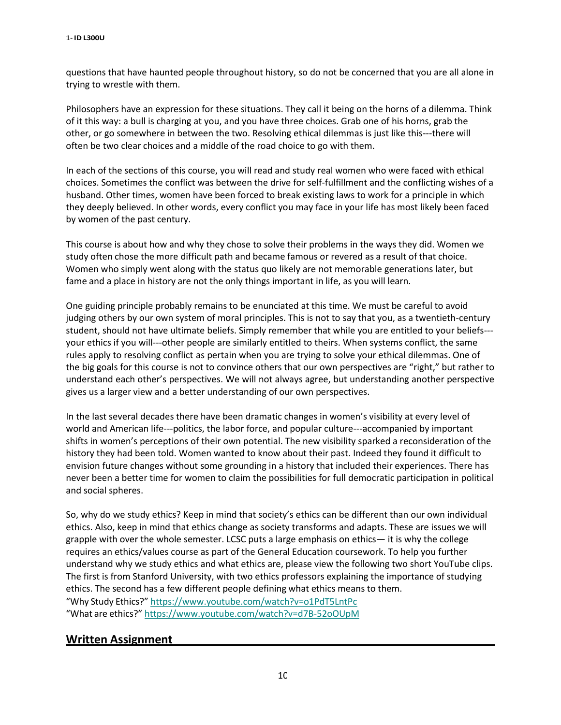questions that have haunted people throughout history, so do not be concerned that you are all alone in trying to wrestle with them.

Philosophers have an expression for these situations. They call it being on the horns of a dilemma. Think of it this way: a bull is charging at you, and you have three choices. Grab one of his horns, grab the other, or go somewhere in between the two. Resolving ethical dilemmas is just like this---there will often be two clear choices and a middle of the road choice to go with them.

In each of the sections of this course, you will read and study real women who were faced with ethical choices. Sometimes the conflict was between the drive for self-fulfillment and the conflicting wishes of a husband. Other times, women have been forced to break existing laws to work for a principle in which they deeply believed. In other words, every conflict you may face in your life has most likely been faced by women of the past century.

This course is about how and why they chose to solve their problems in the ways they did. Women we study often chose the more difficult path and became famous or revered as a result of that choice. Women who simply went along with the status quo likely are not memorable generations later, but fame and a place in history are not the only things important in life, as you will learn.

One guiding principle probably remains to be enunciated at this time. We must be careful to avoid judging others by our own system of moral principles. This is not to say that you, as a twentieth-century student, should not have ultimate beliefs. Simply remember that while you are entitled to your beliefs-- your ethics if you will---other people are similarly entitled to theirs. When systems conflict, the same rules apply to resolving conflict as pertain when you are trying to solve your ethical dilemmas. One of the big goals for this course is not to convince others that our own perspectives are "right," but rather to understand each other's perspectives. We will not always agree, but understanding another perspective gives us a larger view and a better understanding of our own perspectives.

In the last several decades there have been dramatic changes in women's visibility at every level of world and American life---politics, the labor force, and popular culture---accompanied by important shifts in women's perceptions of their own potential. The new visibility sparked a reconsideration of the history they had been told. Women wanted to know about their past. Indeed they found it difficult to envision future changes without some grounding in a history that included their experiences. There has never been a better time for women to claim the possibilities for full democratic participation in political and social spheres.

So, why do we study ethics? Keep in mind that society's ethics can be different than our own individual ethics. Also, keep in mind that ethics change as society transforms and adapts. These are issues we will grapple with over the whole semester. LCSC puts a large emphasis on ethics— it is why the college requires an ethics/values course as part of the General Education coursework. To help you further understand why we study ethics and what ethics are, please view the following two short YouTube clips. The first is from Stanford University, with two ethics professors explaining the importance of studying ethics. The second has a few different people defining what ethics means to them. "Why Study Ethics?" <https://www.youtube.com/watch?v=o1PdT5LntPc> "What are ethics?" <https://www.youtube.com/watch?v=d7B-52oOUpM>

### **Written Assignment**